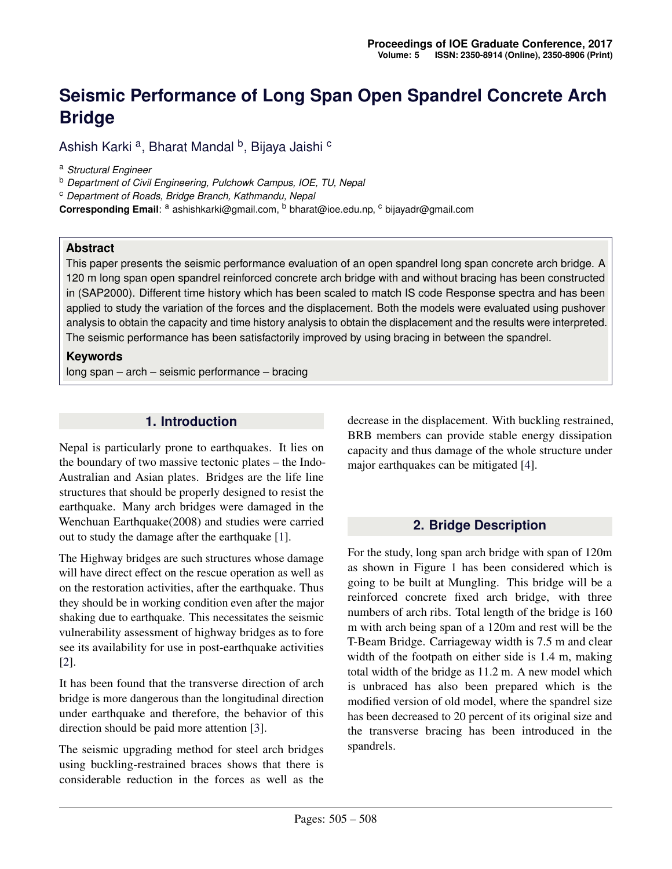# **Seismic Performance of Long Span Open Spandrel Concrete Arch Bridge**

Ashish Karki <sup>a</sup>, Bharat Mandal <sup>b</sup>, Bijaya Jaishi <sup>c</sup>

<sup>a</sup> *Structural Engineer*

<sup>b</sup> *Department of Civil Engineering, Pulchowk Campus, IOE, TU, Nepal*

<sup>c</sup> *Department of Roads, Bridge Branch, Kathmandu, Nepal*

Corresponding Email: <sup>a</sup> ashishkarki@gmail.com, <sup>b</sup> bharat@ioe.edu.np, <sup>c</sup> bijayadr@gmail.com

#### **Abstract**

This paper presents the seismic performance evaluation of an open spandrel long span concrete arch bridge. A 120 m long span open spandrel reinforced concrete arch bridge with and without bracing has been constructed in (SAP2000). Different time history which has been scaled to match IS code Response spectra and has been applied to study the variation of the forces and the displacement. Both the models were evaluated using pushover analysis to obtain the capacity and time history analysis to obtain the displacement and the results were interpreted. The seismic performance has been satisfactorily improved by using bracing in between the spandrel.

#### **Keywords**

long span – arch – seismic performance – bracing

#### **1. Introduction**

Nepal is particularly prone to earthquakes. It lies on the boundary of two massive tectonic plates – the Indo-Australian and Asian plates. Bridges are the life line structures that should be properly designed to resist the earthquake. Many arch bridges were damaged in the Wenchuan Earthquake(2008) and studies were carried out to study the damage after the earthquake [\[1\]](#page-3-0).

The Highway bridges are such structures whose damage will have direct effect on the rescue operation as well as on the restoration activities, after the earthquake. Thus they should be in working condition even after the major shaking due to earthquake. This necessitates the seismic vulnerability assessment of highway bridges as to fore see its availability for use in post-earthquake activities [\[2\]](#page-3-1).

It has been found that the transverse direction of arch bridge is more dangerous than the longitudinal direction under earthquake and therefore, the behavior of this direction should be paid more attention [\[3\]](#page-3-2).

The seismic upgrading method for steel arch bridges using buckling-restrained braces shows that there is considerable reduction in the forces as well as the

decrease in the displacement. With buckling restrained, BRB members can provide stable energy dissipation capacity and thus damage of the whole structure under major earthquakes can be mitigated [\[4\]](#page-3-3).

## **2. Bridge Description**

For the study, long span arch bridge with span of 120m as shown in Figure 1 has been considered which is going to be built at Mungling. This bridge will be a reinforced concrete fixed arch bridge, with three numbers of arch ribs. Total length of the bridge is 160 m with arch being span of a 120m and rest will be the T-Beam Bridge. Carriageway width is 7.5 m and clear width of the footpath on either side is 1.4 m, making total width of the bridge as 11.2 m. A new model which is unbraced has also been prepared which is the modified version of old model, where the spandrel size has been decreased to 20 percent of its original size and the transverse bracing has been introduced in the spandrels.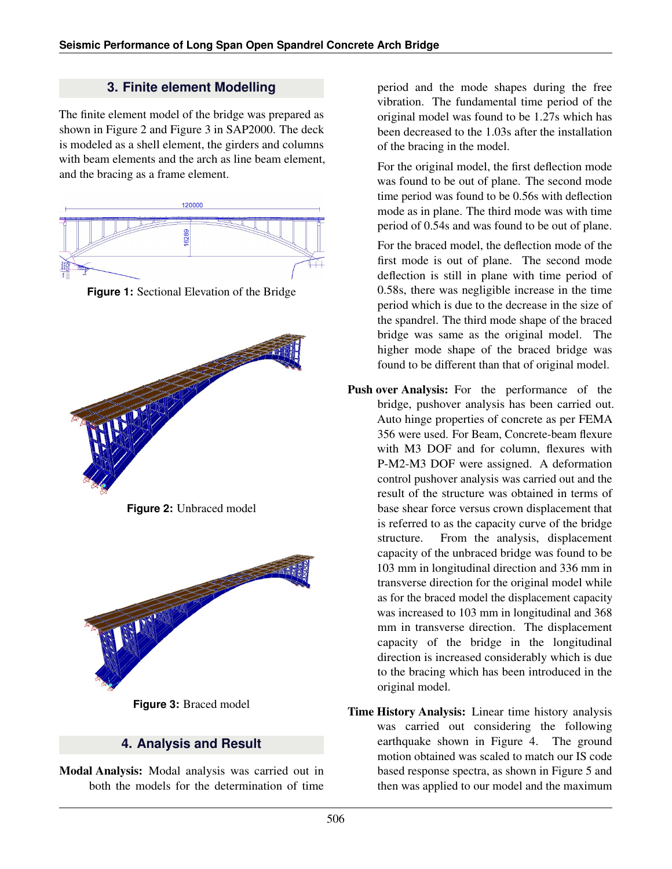## **3. Finite element Modelling**

The finite element model of the bridge was prepared as shown in Figure 2 and Figure 3 in SAP2000. The deck is modeled as a shell element, the girders and columns with beam elements and the arch as line beam element. and the bracing as a frame element.



**Figure 1:** Sectional Elevation of the Bridge



**Figure 2:** Unbraced model



**Figure 3:** Braced model

## **4. Analysis and Result**

Modal Analysis: Modal analysis was carried out in both the models for the determination of time

period and the mode shapes during the free vibration. The fundamental time period of the original model was found to be 1.27s which has been decreased to the 1.03s after the installation of the bracing in the model.

For the original model, the first deflection mode was found to be out of plane. The second mode time period was found to be 0.56s with deflection mode as in plane. The third mode was with time period of 0.54s and was found to be out of plane.

For the braced model, the deflection mode of the first mode is out of plane. The second mode deflection is still in plane with time period of 0.58s, there was negligible increase in the time period which is due to the decrease in the size of the spandrel. The third mode shape of the braced bridge was same as the original model. The higher mode shape of the braced bridge was found to be different than that of original model.

- Push over Analysis: For the performance of the bridge, pushover analysis has been carried out. Auto hinge properties of concrete as per FEMA 356 were used. For Beam, Concrete-beam flexure with M3 DOF and for column, flexures with P-M2-M3 DOF were assigned. A deformation control pushover analysis was carried out and the result of the structure was obtained in terms of base shear force versus crown displacement that is referred to as the capacity curve of the bridge structure. From the analysis, displacement capacity of the unbraced bridge was found to be 103 mm in longitudinal direction and 336 mm in transverse direction for the original model while as for the braced model the displacement capacity was increased to 103 mm in longitudinal and 368 mm in transverse direction. The displacement capacity of the bridge in the longitudinal direction is increased considerably which is due to the bracing which has been introduced in the original model.
- Time History Analysis: Linear time history analysis was carried out considering the following earthquake shown in Figure 4. The ground motion obtained was scaled to match our IS code based response spectra, as shown in Figure 5 and then was applied to our model and the maximum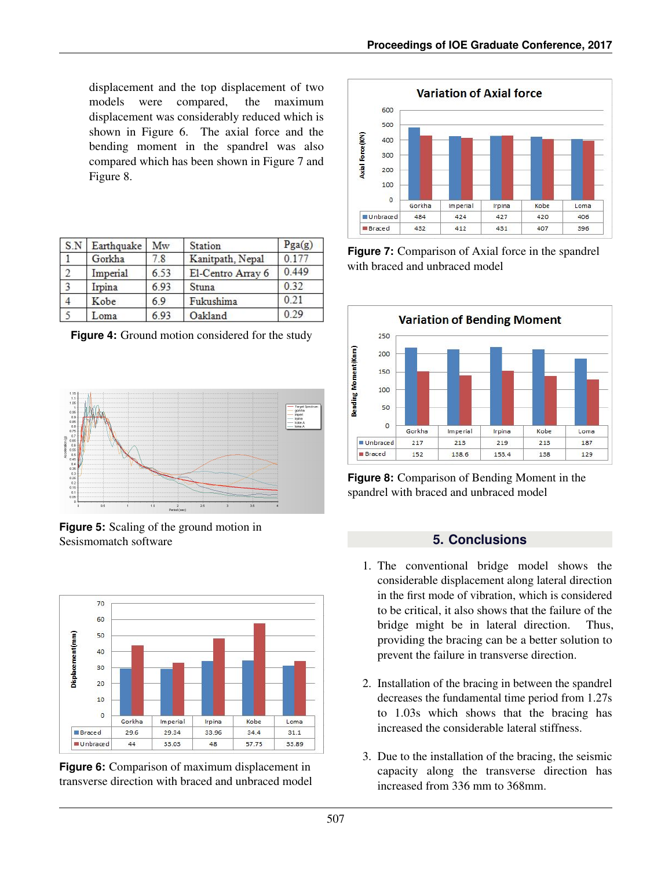displacement and the top displacement of two models were compared, the maximum displacement was considerably reduced which is shown in Figure 6. The axial force and the bending moment in the spandrel was also compared which has been shown in Figure 7 and Figure 8.

| S.N | Earthquake | Mw   | <b>Station</b>    | Pga(g) |
|-----|------------|------|-------------------|--------|
|     | Gorkha     | 7.8  | Kanitpath, Nepal  | 0.177  |
|     | Imperial   | 6.53 | El-Centro Array 6 | 0.449  |
| 3   | Irpina     | 6.93 | Stuna             | 0.32   |
|     | Kobe       | 69   | Fukushima         | 0.21   |
|     | oma        | 693  | Oakland           | 0.29   |

**Figure 4:** Ground motion considered for the study



**Figure 5:** Scaling of the ground motion in Sesismomatch software







**Figure 7:** Comparison of Axial force in the spandrel with braced and unbraced model



**Figure 8:** Comparison of Bending Moment in the spandrel with braced and unbraced model

## **5. Conclusions**

- 1. The conventional bridge model shows the considerable displacement along lateral direction in the first mode of vibration, which is considered to be critical, it also shows that the failure of the bridge might be in lateral direction. Thus, providing the bracing can be a better solution to prevent the failure in transverse direction.
- 2. Installation of the bracing in between the spandrel decreases the fundamental time period from 1.27s to 1.03s which shows that the bracing has increased the considerable lateral stiffness.
- 3. Due to the installation of the bracing, the seismic capacity along the transverse direction has increased from 336 mm to 368mm.